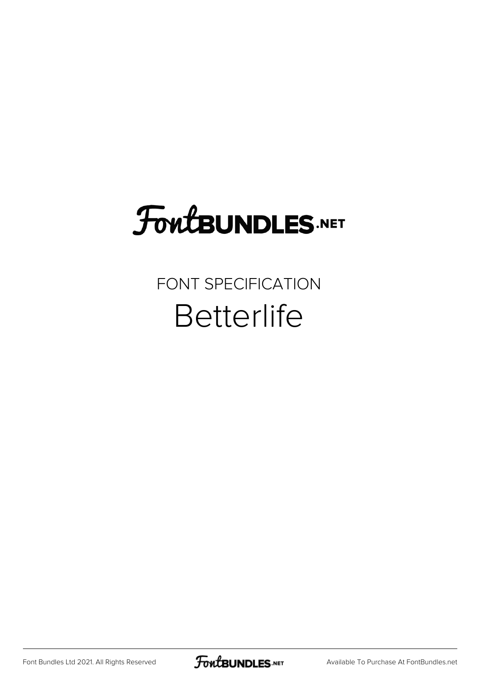## FoutBUNDLES.NET

## FONT SPECIFICATION **Betterlife**

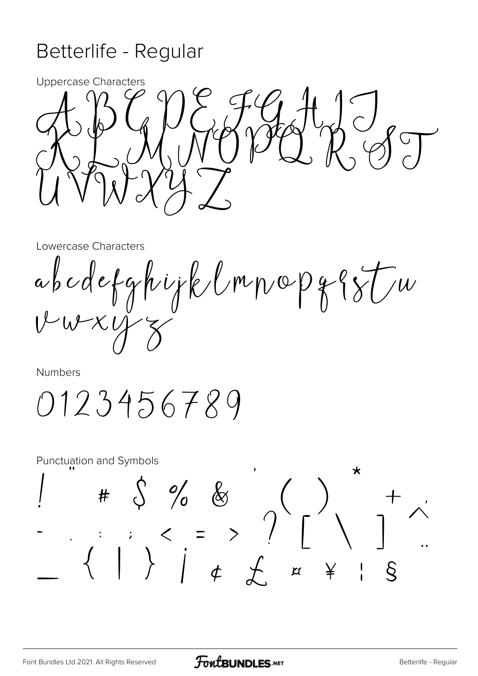## Betterlife - Regular



Lowercase Characters

abcdefghijklmnopggfu

Numbers

0123456789

**Punctuation and Symbols**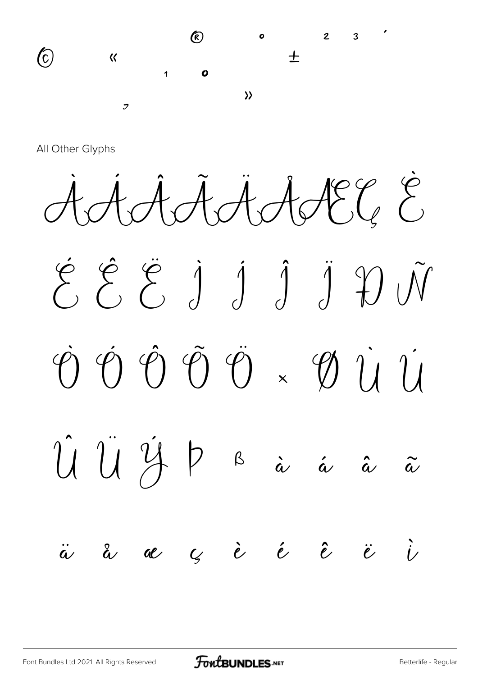

All Other Glyphs

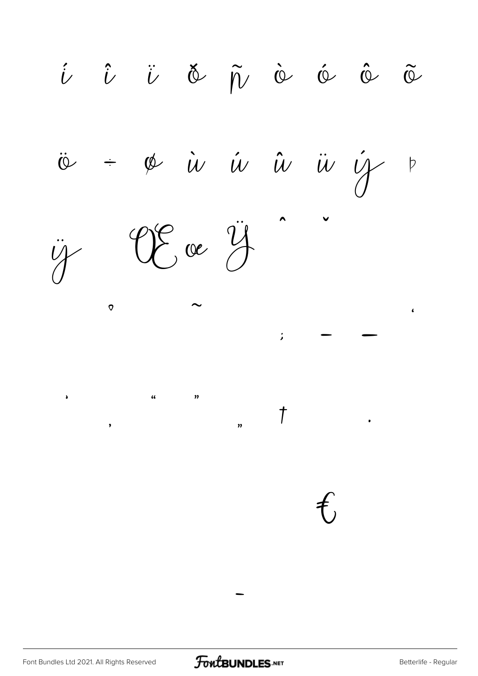$\hat{\iota}$   $\hat{\iota}$   $\ddot{\iota}$   $\check{\varphi}$   $\tilde{\eta}$   $\dot{\varphi}$   $\dot{\varphi}$   $\tilde{\varphi}$   $\tilde{\varphi}$  $\div$  & iv iv iv iv if  $\ddot{\omega}$  $\overline{P}$ Eve  $\ddot{y}$  $\ddot{\psi}$  $\circ$  $\pmb{\epsilon}$  $\cdot$  $\Delta$  $\overline{u}$  $\boldsymbol{\eta}$  $\overline{1}$  $\overline{\mathbf{v}}$  $\overline{\phantom{a}}$ 

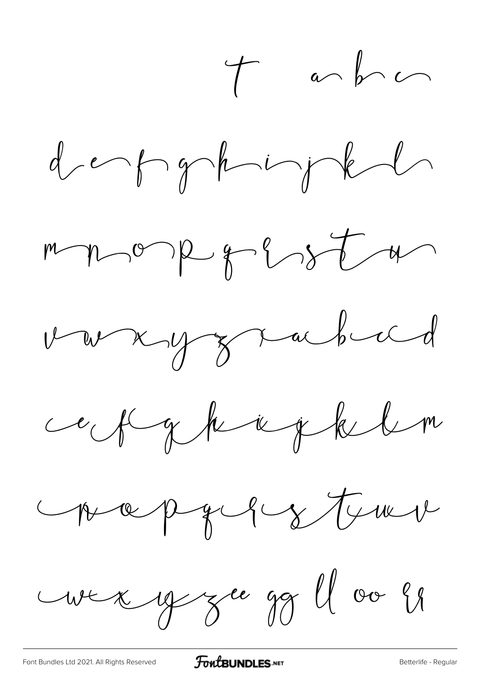$t$  and  $\sim$ 











un y gu gg ll ou si